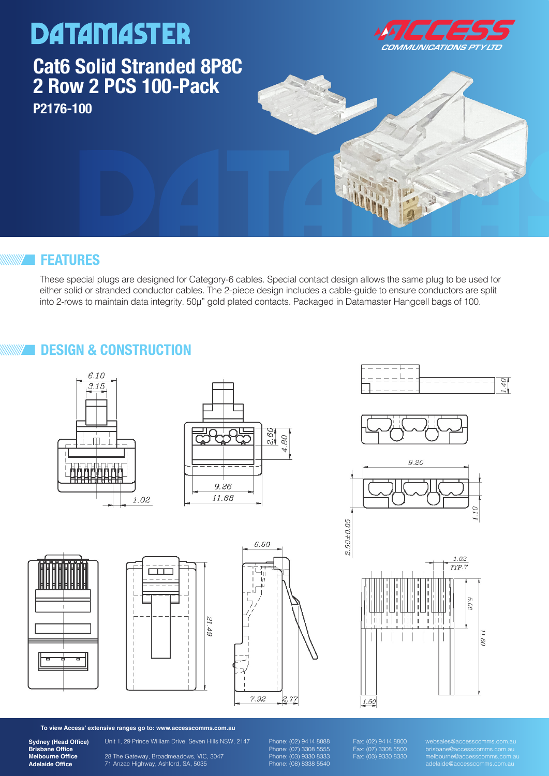### **DATAMASTER Cat6 Solid Stranded 8P8C 2 Row 2 PCS 100-Pack P2176-100**



#### **FEATURES**

These special plugs are designed for Category-6 cables. Special contact design allows the same plug to be used for either solid or stranded conductor cables. The 2-piece design includes a cable-guide to ensure conductors are split into 2-rows to maintain data integrity. 50μ" gold plated contacts. Packaged in Datamaster Hangcell bags of 100.

### **DESIGN & CONSTRUCTION**



















**To view Access' extensive ranges go to: www.accesscomms.com.au**

**Sydney (Head Office) Brisbane Office Melbourne Office Adelaide Office**

Unit 1, 29 Prince William Drive, Seven Hills NSW, 2147

28 The Gateway, Broadmeadows, VIC, 3047 71 Anzac Highway, Ashford, SA, 5035

Phone: (02) 9414 8888 Phone: (07) 3308 5555 Phone: (03) 9330 8333 Phone: (08) 8338 5540 Fax: (02) 9414 8800 Fax: (07) 3308 5500 Fax: (03) 9330 8330 websales@accesscomms.com.au brisbane@accesscomms.com.au melbourne@accesscomms.com.au adelaide@accesscomms.com.au